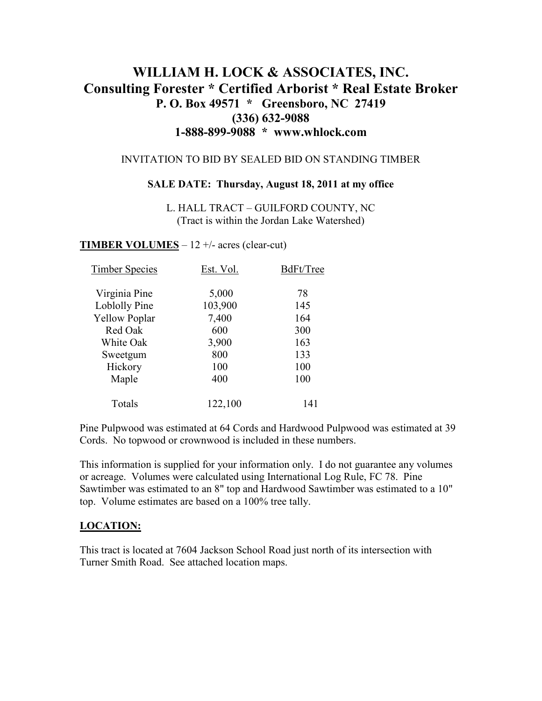# **WILLIAM H. LOCK & ASSOCIATES, INC. Consulting Forester \* Certified Arborist \* Real Estate Broker P. O. Box 49571 \* Greensboro, NC 27419 (336) 632-9088 1-888-899-9088 \* www.whlock.com**

#### INVITATION TO BID BY SEALED BID ON STANDING TIMBER

#### **SALE DATE: Thursday, August 18, 2011 at my office**

L. HALL TRACT – GUILFORD COUNTY, NC (Tract is within the Jordan Lake Watershed)

#### **TIMBER VOLUMES** – 12 +/- acres (clear-cut)

| <b>Timber Species</b> | Est. Vol. | BdFt/Tree |
|-----------------------|-----------|-----------|
| Virginia Pine         | 5,000     | 78        |
| Loblolly Pine         | 103,900   | 145       |
| <b>Yellow Poplar</b>  | 7,400     | 164       |
| Red Oak               | 600       | 300       |
| White Oak             | 3,900     | 163       |
| Sweetgum              | 800       | 133       |
| Hickory               | 100       | 100       |
| Maple                 | 400       | 100       |
| Totals                | 122,100   | 141       |

Pine Pulpwood was estimated at 64 Cords and Hardwood Pulpwood was estimated at 39 Cords. No topwood or crownwood is included in these numbers.

This information is supplied for your information only. I do not guarantee any volumes or acreage. Volumes were calculated using International Log Rule, FC 78. Pine Sawtimber was estimated to an 8" top and Hardwood Sawtimber was estimated to a 10" top. Volume estimates are based on a 100% tree tally.

### **LOCATION:**

This tract is located at 7604 Jackson School Road just north of its intersection with Turner Smith Road. See attached location maps.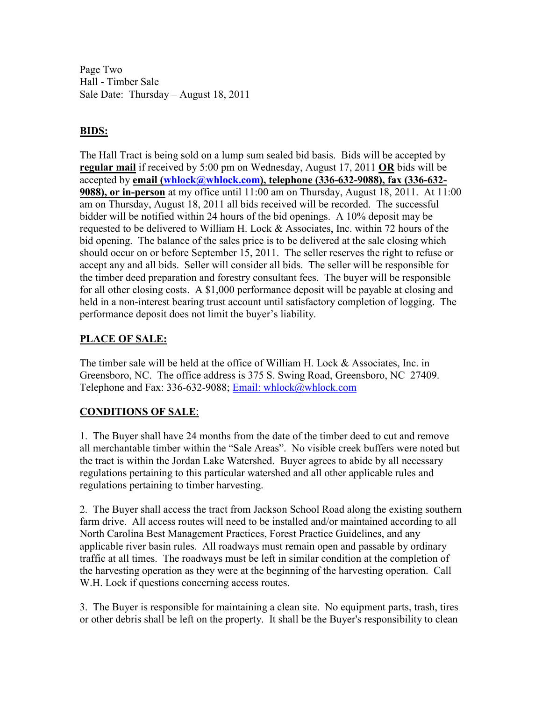Page Two Hall - Timber Sale Sale Date: Thursday – August 18, 2011

### **BIDS:**

The Hall Tract is being sold on a lump sum sealed bid basis. Bids will be accepted by **regular mail** if received by 5:00 pm on Wednesday, August 17, 2011 **OR** bids will be accepted by **email (whlock@whlock.com), telephone (336-632-9088), fax (336-632- 9088), or in-person** at my office until 11:00 am on Thursday, August 18, 2011. At 11:00 am on Thursday, August 18, 2011 all bids received will be recorded. The successful bidder will be notified within 24 hours of the bid openings. A 10% deposit may be requested to be delivered to William H. Lock & Associates, Inc. within 72 hours of the bid opening. The balance of the sales price is to be delivered at the sale closing which should occur on or before September 15, 2011. The seller reserves the right to refuse or accept any and all bids. Seller will consider all bids. The seller will be responsible for the timber deed preparation and forestry consultant fees. The buyer will be responsible for all other closing costs. A \$1,000 performance deposit will be payable at closing and held in a non-interest bearing trust account until satisfactory completion of logging. The performance deposit does not limit the buyer's liability.

## **PLACE OF SALE:**

The timber sale will be held at the office of William H. Lock & Associates, Inc. in Greensboro, NC. The office address is 375 S. Swing Road, Greensboro, NC 27409. Telephone and Fax: 336-632-9088; Email: whlock@whlock.com

### **CONDITIONS OF SALE**:

1. The Buyer shall have 24 months from the date of the timber deed to cut and remove all merchantable timber within the "Sale Areas". No visible creek buffers were noted but the tract is within the Jordan Lake Watershed. Buyer agrees to abide by all necessary regulations pertaining to this particular watershed and all other applicable rules and regulations pertaining to timber harvesting.

2. The Buyer shall access the tract from Jackson School Road along the existing southern farm drive. All access routes will need to be installed and/or maintained according to all North Carolina Best Management Practices, Forest Practice Guidelines, and any applicable river basin rules. All roadways must remain open and passable by ordinary traffic at all times. The roadways must be left in similar condition at the completion of the harvesting operation as they were at the beginning of the harvesting operation. Call W.H. Lock if questions concerning access routes.

3. The Buyer is responsible for maintaining a clean site. No equipment parts, trash, tires or other debris shall be left on the property. It shall be the Buyer's responsibility to clean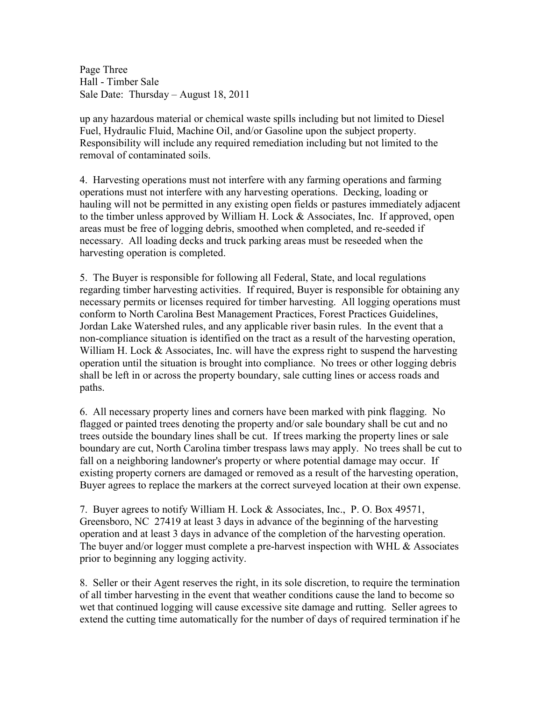Page Three Hall - Timber Sale Sale Date: Thursday – August 18, 2011

up any hazardous material or chemical waste spills including but not limited to Diesel Fuel, Hydraulic Fluid, Machine Oil, and/or Gasoline upon the subject property. Responsibility will include any required remediation including but not limited to the removal of contaminated soils.

4. Harvesting operations must not interfere with any farming operations and farming operations must not interfere with any harvesting operations. Decking, loading or hauling will not be permitted in any existing open fields or pastures immediately adjacent to the timber unless approved by William H. Lock  $&$  Associates, Inc. If approved, open areas must be free of logging debris, smoothed when completed, and re-seeded if necessary. All loading decks and truck parking areas must be reseeded when the harvesting operation is completed.

5. The Buyer is responsible for following all Federal, State, and local regulations regarding timber harvesting activities. If required, Buyer is responsible for obtaining any necessary permits or licenses required for timber harvesting. All logging operations must conform to North Carolina Best Management Practices, Forest Practices Guidelines, Jordan Lake Watershed rules, and any applicable river basin rules. In the event that a non-compliance situation is identified on the tract as a result of the harvesting operation, William H. Lock & Associates, Inc. will have the express right to suspend the harvesting operation until the situation is brought into compliance. No trees or other logging debris shall be left in or across the property boundary, sale cutting lines or access roads and paths.

6. All necessary property lines and corners have been marked with pink flagging. No flagged or painted trees denoting the property and/or sale boundary shall be cut and no trees outside the boundary lines shall be cut. If trees marking the property lines or sale boundary are cut, North Carolina timber trespass laws may apply. No trees shall be cut to fall on a neighboring landowner's property or where potential damage may occur. If existing property corners are damaged or removed as a result of the harvesting operation, Buyer agrees to replace the markers at the correct surveyed location at their own expense.

7. Buyer agrees to notify William H. Lock & Associates, Inc., P. O. Box 49571, Greensboro, NC 27419 at least 3 days in advance of the beginning of the harvesting operation and at least 3 days in advance of the completion of the harvesting operation. The buyer and/or logger must complete a pre-harvest inspection with WHL & Associates prior to beginning any logging activity.

8. Seller or their Agent reserves the right, in its sole discretion, to require the termination of all timber harvesting in the event that weather conditions cause the land to become so wet that continued logging will cause excessive site damage and rutting. Seller agrees to extend the cutting time automatically for the number of days of required termination if he